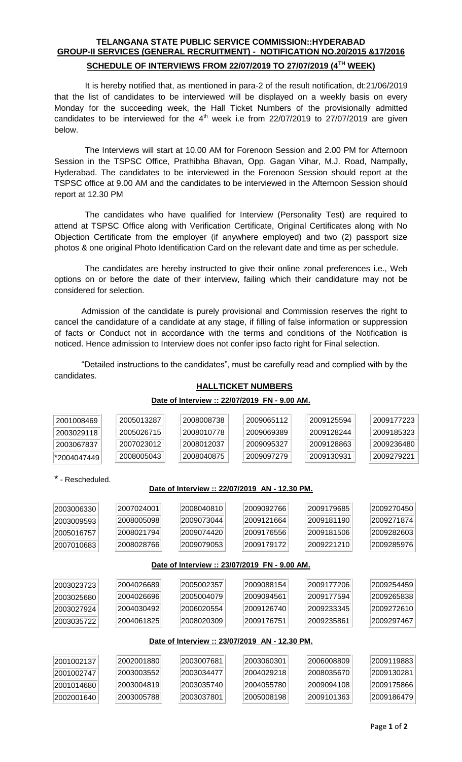## **TELANGANA STATE PUBLIC SERVICE COMMISSION::HYDERABAD GROUP-II SERVICES (GENERAL RECRUITMENT) - NOTIFICATION NO.20/2015 &17/2016 SCHEDULE OF INTERVIEWS FROM 22/07/2019 TO 27/07/2019 (4TH WEEK)**

It is hereby notified that, as mentioned in para-2 of the result notification, dt:21/06/2019 that the list of candidates to be interviewed will be displayed on a weekly basis on every Monday for the succeeding week, the Hall Ticket Numbers of the provisionally admitted candidates to be interviewed for the  $4<sup>th</sup>$  week i.e from 22/07/2019 to 27/07/2019 are given below.

The Interviews will start at 10.00 AM for Forenoon Session and 2.00 PM for Afternoon Session in the TSPSC Office, Prathibha Bhavan, Opp. Gagan Vihar, M.J. Road, Nampally, Hyderabad. The candidates to be interviewed in the Forenoon Session should report at the TSPSC office at 9.00 AM and the candidates to be interviewed in the Afternoon Session should report at 12.30 PM

The candidates who have qualified for Interview (Personality Test) are required to attend at TSPSC Office along with Verification Certificate, Original Certificates along with No Objection Certificate from the employer (if anywhere employed) and two (2) passport size photos & one original Photo Identification Card on the relevant date and time as per schedule.

The candidates are hereby instructed to give their online zonal preferences i.e., Web options on or before the date of their interview, failing which their candidature may not be considered for selection.

Admission of the candidate is purely provisional and Commission reserves the right to cancel the candidature of a candidate at any stage, if filling of false information or suppression of facts or Conduct not in accordance with the terms and conditions of the Notification is noticed. Hence admission to Interview does not confer ipso facto right for Final selection.

"Detailed instructions to the candidates", must be carefully read and complied with by the candidates.

## **HALLTICKET NUMBERS**

#### **Date of Interview :: 22/07/2019 FN - 9.00 AM.**

| 2001008469 | 2005013287 | 2008008738 | 2009065112 | 2009125594 | 2009177223 |
|------------|------------|------------|------------|------------|------------|
| 2003029118 | 2005026715 | 2008010778 | 2009069389 | 2009128244 | 2009185323 |
| 2003067837 | 2007023012 | 2008012037 | 2009095327 | 2009128863 | 2009236480 |
| 2004047449 | 2008005043 | 2008040875 | 2009097279 | 2009130931 | 2009279221 |

## \* - Rescheduled.

#### **Date of Interview :: 22/07/2019 AN - 12.30 PM.**

| 2003006330 | 2007024001 | 2008040810 | 2009092766 | 2009179685 | 2009270450 |
|------------|------------|------------|------------|------------|------------|
| 2003009593 | 2008005098 | 2009073044 | 2009121664 | 2009181190 | 2009271874 |
| 2005016757 | 2008021794 | 2009074420 | 2009176556 | 2009181506 | 2009282603 |
| 2007010683 | 2008028766 | 2009079053 | 2009179172 | 2009221210 | 2009285976 |

#### **Date of Interview :: 23/07/2019 FN - 9.00 AM.**

| 2003023723 | 2004026689 | 2005002357 | 2009088154 | 2009177206 | 2009254459 |
|------------|------------|------------|------------|------------|------------|
| 2003025680 | 2004026696 | 2005004079 | 2009094561 | 2009177594 | 2009265838 |
| 2003027924 | 2004030492 | 2006020554 | 2009126740 | 2009233345 | 2009272610 |
| 2003035722 | 2004061825 | 2008020309 | 2009176751 | 2009235861 | 2009297467 |

## **Date of Interview :: 23/07/2019 AN - 12.30 PM.**

| 2001002137 | 2002001880 | 2003007681 | 2003060301 | 12006008809 | 2009119883 |
|------------|------------|------------|------------|-------------|------------|
| 2001002747 | 2003003552 | 2003034477 | 2004029218 | 12008035670 | 2009130281 |
| 2001014680 | 2003004819 | 2003035740 | 2004055780 | 2009094108  | 2009175866 |
| 2002001640 | 2003005788 | 2003037801 | 2005008198 | 2009101363  | 2009186479 |